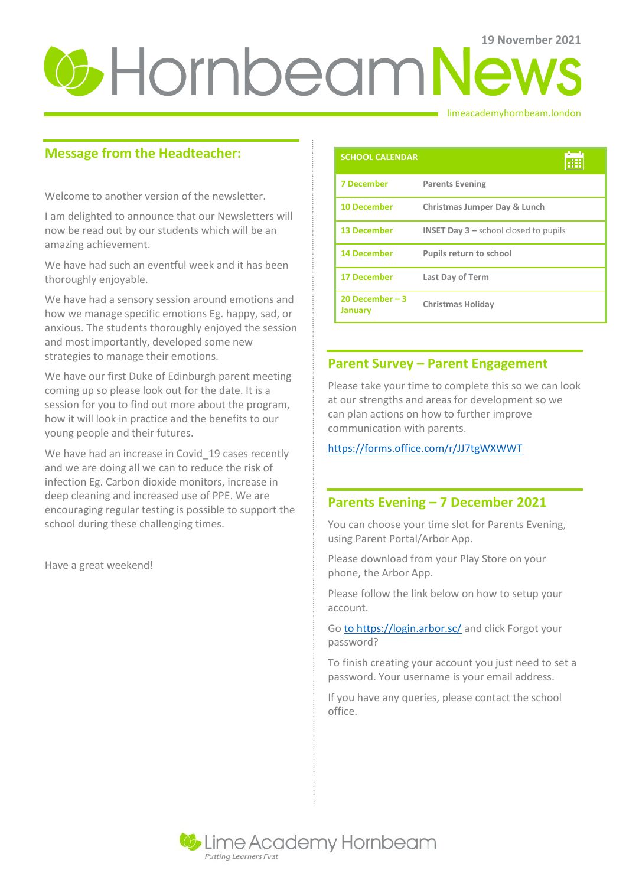# **U** Hornbeam News

#### limeacademyhornbeam.london

# **Message from the Headteacher:**

Welcome to another version of the newsletter.

I am delighted to announce that our Newsletters will now be read out by our students which will be an amazing achievement.

We have had such an eventful week and it has been thoroughly enjoyable.

We have had a sensory session around emotions and how we manage specific emotions Eg. happy, sad, or anxious. The students thoroughly enjoyed the session and most importantly, developed some new strategies to manage their emotions.

We have our first Duke of Edinburgh parent meeting coming up so please look out for the date. It is a session for you to find out more about the program, how it will look in practice and the benefits to our young people and their futures.

We have had an increase in Covid\_19 cases recently and we are doing all we can to reduce the risk of infection Eg. Carbon dioxide monitors, increase in deep cleaning and increased use of PPE. We are encouraging regular testing is possible to support the school during these challenging times.

Have a great weekend!

| <b>SCHOOL CALENDAR</b>      |                                                           |
|-----------------------------|-----------------------------------------------------------|
| <b>7 December</b>           | <b>Parents Evening</b>                                    |
| <b>10 December</b>          | Christmas Jumper Day & Lunch                              |
| <b>13 December</b>          | <b>INSET Day <math>3</math> – school closed to pupils</b> |
| <b>14 December</b>          | <b>Pupils return to school</b>                            |
| <b>17 December</b>          | <b>Last Day of Term</b>                                   |
| 20 December $-3$<br>January | Christmas Holiday                                         |

## **Parent Survey – Parent Engagement**

Please take your time to complete this so we can look at our strengths and areas for development so we can plan actions on how to further improve communication with parents.

<https://forms.office.com/r/JJ7tgWXWWT>

### **Parents Evening – 7 December 2021**

You can choose your time slot for Parents Evening, using Parent Portal/Arbor App.

Please download from your Play Store on your phone, the Arbor App.

Please follow the link below on how to setup your account.

Go [to https://login.arbor.sc/](file:///C:/Users/pgrant/Downloads/to%20https:/login.arbor.sc/) and click Forgot your password?

To finish creating your account you just need to set a password. Your username is your email address.

If you have any queries, please contact the school office.

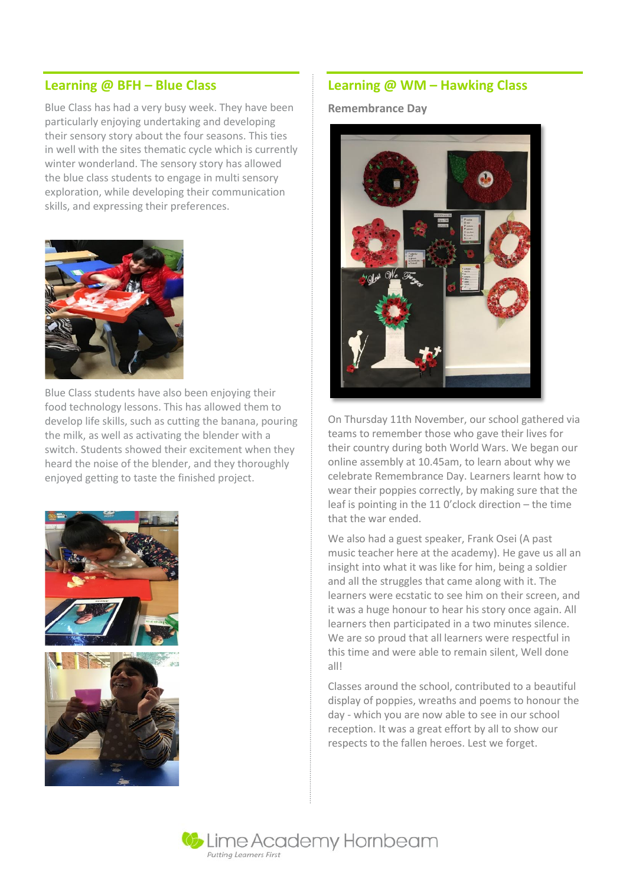#### **Learning @ BFH – Blue Class**

Blue Class has had a very busy week. They have been particularly enjoying undertaking and developing their sensory story about the four seasons. This ties in well with the sites thematic cycle which is currently winter wonderland. The sensory story has allowed the blue class students to engage in multi sensory exploration, while developing their communication skills, and expressing their preferences.



Blue Class students have also been enjoying their food technology lessons. This has allowed them to develop life skills, such as cutting the banana, pouring the milk, as well as activating the blender with a switch. Students showed their excitement when they heard the noise of the blender, and they thoroughly enjoyed getting to taste the finished project.



#### **Learning @ WM – Hawking Class**

**Remembrance Day**



On Thursday 11th November, our school gathered via teams to remember those who gave their lives for their country during both World Wars. We began our online assembly at 10.45am, to learn about why we celebrate Remembrance Day. Learners learnt how to wear their poppies correctly, by making sure that the leaf is pointing in the 11 0'clock direction – the time that the war ended.

We also had a guest speaker, Frank Osei (A past music teacher here at the academy). He gave us all an insight into what it was like for him, being a soldier and all the struggles that came along with it. The learners were ecstatic to see him on their screen, and it was a huge honour to hear his story once again. All learners then participated in a two minutes silence. We are so proud that all learners were respectful in this time and were able to remain silent, Well done all!

Classes around the school, contributed to a beautiful display of poppies, wreaths and poems to honour the day - which you are now able to see in our school reception. It was a great effort by all to show our respects to the fallen heroes. Lest we forget.